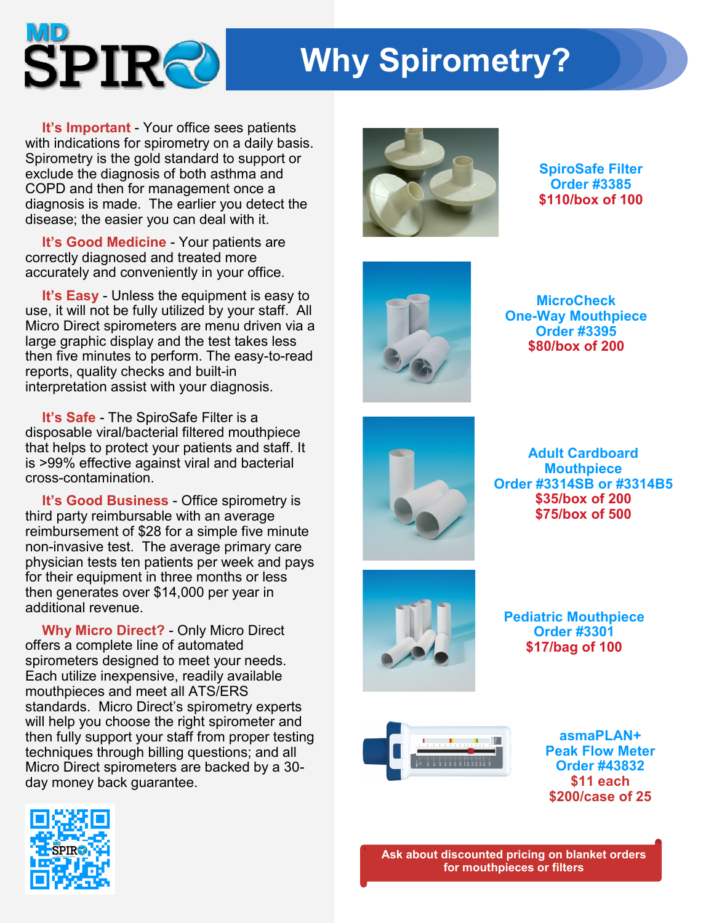

## **Why Spirometry?**

**It's Important** - Your office sees patients with indications for spirometry on a daily basis. Spirometry is the gold standard to support or exclude the diagnosis of both asthma and COPD and then for management once a diagnosis is made. The earlier you detect the disease; the easier you can deal with it.

**It's Good Medicine** - Your patients are correctly diagnosed and treated more accurately and conveniently in your office.

**It's Easy** - Unless the equipment is easy to use, it will not be fully utilized by your staff. All Micro Direct spirometers are menu driven via a large graphic display and the test takes less then five minutes to perform. The easy-to-read reports, quality checks and built-in interpretation assist with your diagnosis.

**It's Safe** - The SpiroSafe Filter is a disposable viral/bacterial filtered mouthpiece that helps to protect your patients and staff. It is >99% effective against viral and bacterial cross-contamination.

**It's Good Business** - Office spirometry is third party reimbursable with an average reimbursement of \$28 for a simple five minute non-invasive test. The average primary care physician tests ten patients per week and pays for their equipment in three months or less then generates over \$14,000 per year in additional revenue.

**Why Micro Direct?** - Only Micro Direct offers a complete line of automated spirometers designed to meet your needs. Each utilize inexpensive, readily available mouthpieces and meet all ATS/ERS standards. Micro Direct's spirometry experts will help you choose the right spirometer and then fully support your staff from proper testing techniques through billing questions; and all Micro Direct spirometers are backed by a 30 day money back guarantee.





**SpiroSafe Filter Order #3385 \$110/box of 100**



**MicroCheck One-Way Mouthpiece Order #3395 \$80/box of 200**



**Adult Cardboard Mouthpiece Order #3314SB or #3314B5 \$35/box of 200 \$75/box of 500**



**Pediatric Mouthpiece Order #3301 \$17/bag of 100**



**asmaPLAN+ Peak Flow Meter Order #43832 \$11 each \$200/case of 25**

**Ask about discounted pricing on blanket orders for mouthpieces or filters**